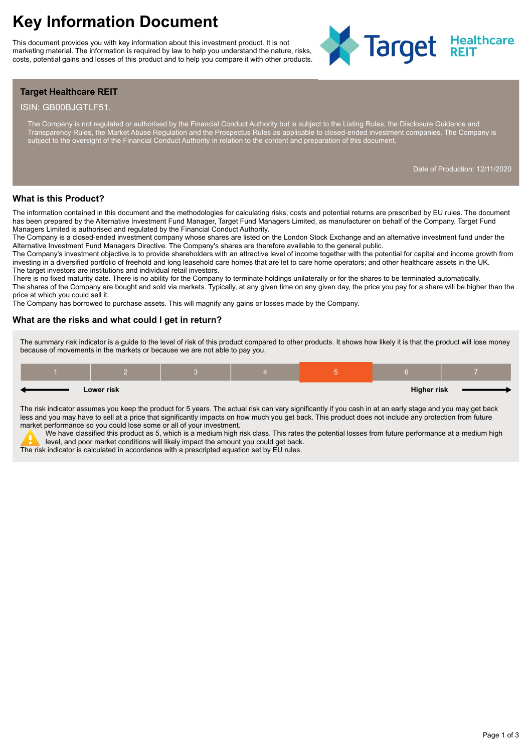This document provides you with key information about this investment product. It is not marketing material. The information is required by law to help you understand the nature, risks, costs, potential gains and losses of this product and to help you compare it with other products.



# **Target Healthcare REIT**

#### ISIN: GB00BJGTLF51.

The Company is not regulated or authorised by the Financial Conduct Authority but is subject to the Listing Rules, the Disclosure Guidance and Transparency Rules, the Market Abuse Regulation and the Prospectus Rules as applicable to closed-ended investment companies. The Company is subject to the oversight of the Financial Conduct Authority in relation to the content and preparation of this document.

Date of Production: 12/11/2020

## **What is this Product?**

The information contained in this document and the methodologies for calculating risks, costs and potential returns are prescribed by EU rules. The document has been prepared by the Alternative Investment Fund Manager, Target Fund Managers Limited, as manufacturer on behalf of the Company. Target Fund Managers Limited is authorised and regulated by the Financial Conduct Authority.

The Company is a closed-ended investment company whose shares are listed on the London Stock Exchange and an alternative investment fund under the Alternative Investment Fund Managers Directive. The Company's shares are therefore available to the general public.

The Company's investment objective is to provide shareholders with an attractive level of income together with the potential for capital and income growth from investing in a diversified portfolio of freehold and long leasehold care homes that are let to care home operators; and other healthcare assets in the UK. The target investors are institutions and individual retail investors.

There is no fixed maturity date. There is no ability for the Company to terminate holdings unilaterally or for the shares to be terminated automatically.

The shares of the Company are bought and sold via markets. Typically, at any given time on any given day, the price you pay for a share will be higher than the price at which you could sell it.

The Company has borrowed to purchase assets. This will magnify any gains or losses made by the Company.

#### **What are the risks and what could I get in return?**

The summary risk indicator is a guide to the level of risk of this product compared to other products. It shows how likely it is that the product will lose money because of movements in the markets or because we are not able to pay you.

|  | Lower risk |  | <b>Higher risk</b> |  |
|--|------------|--|--------------------|--|

The risk indicator assumes you keep the product for 5 years. The actual risk can vary significantly if you cash in at an early stage and you may get back less and you may have to sell at a price that significantly impacts on how much you get back. This product does not include any protection from future market performance so you could lose some or all of your investment.

.<br>We have classified this product as 5, which is a medium high risk class. This rates the potential losses from future performance at a medium high level, and poor market conditions will likely impact the amount you could get back.

The risk indicator is calculated in accordance with a prescripted equation set by EU rules.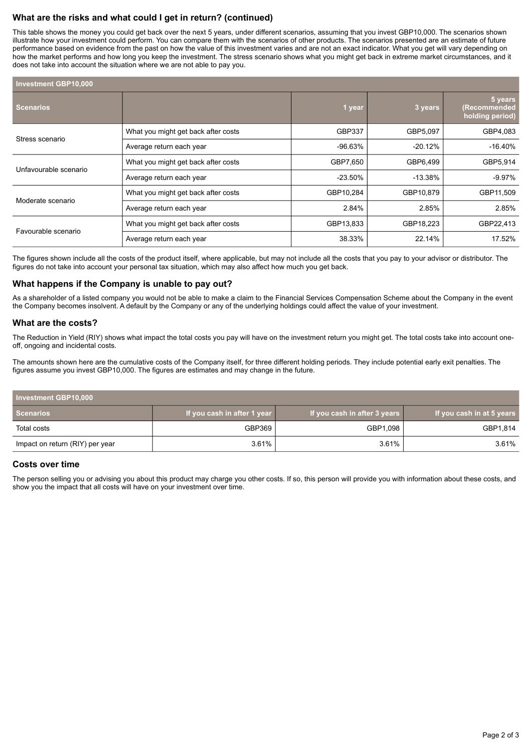# **What are the risks and what could I get in return? (continued)**

This table shows the money you could get back over the next 5 years, under different scenarios, assuming that you invest GBP10,000. The scenarios shown illustrate how your investment could perform. You can compare them with the scenarios of other products. The scenarios presented are an estimate of future performance based on evidence from the past on how the value of this investment varies and are not an exact indicator. What you get will vary depending on how the market performs and how long you keep the investment. The stress scenario shows what you might get back in extreme market circumstances, and it does not take into account the situation where we are not able to pay you.

| Investment GBP10,000  |                                     |            |           |                                            |  |  |  |
|-----------------------|-------------------------------------|------------|-----------|--------------------------------------------|--|--|--|
| <b>Scenarios</b>      |                                     | 1 year     | 3 years   | 5 years<br>(Recommended<br>holding period) |  |  |  |
| Stress scenario       | What you might get back after costs | GBP337     | GBP5,097  | GBP4,083                                   |  |  |  |
|                       | Average return each year            | -96.63%    | $-20.12%$ | $-16.40\%$                                 |  |  |  |
| Unfavourable scenario | What you might get back after costs | GBP7,650   | GBP6,499  | GBP5,914                                   |  |  |  |
|                       | Average return each year            | $-23.50\%$ | $-13.38%$ | $-9.97%$                                   |  |  |  |
|                       | What you might get back after costs | GBP10,284  | GBP10,879 | GBP11,509                                  |  |  |  |
| Moderate scenario     | Average return each year            | 2.84%      | 2.85%     | 2.85%                                      |  |  |  |
| Favourable scenario   | What you might get back after costs | GBP13,833  | GBP18,223 | GBP22,413                                  |  |  |  |
|                       | Average return each year            | 38.33%     | 22.14%    | 17.52%                                     |  |  |  |

The figures shown include all the costs of the product itself, where applicable, but may not include all the costs that you pay to your advisor or distributor. The figures do not take into account your personal tax situation, which may also affect how much you get back.

## **What happens if the Company is unable to pay out?**

As a shareholder of a listed company you would not be able to make a claim to the Financial Services Compensation Scheme about the Company in the event the Company becomes insolvent. A default by the Company or any of the underlying holdings could affect the value of your investment.

## **What are the costs?**

The Reduction in Yield (RIY) shows what impact the total costs you pay will have on the investment return you might get. The total costs take into account oneoff, ongoing and incidental costs.

The amounts shown here are the cumulative costs of the Company itself, for three different holding periods. They include potential early exit penalties. The figures assume you invest GBP10,000. The figures are estimates and may change in the future.

| Investment GBP10,000            |                             |                              |                           |  |
|---------------------------------|-----------------------------|------------------------------|---------------------------|--|
| Scenarios                       | If you cash in after 1 year | If you cash in after 3 years | If you cash in at 5 years |  |
| Total costs                     | GBP369                      | GBP1,098                     | GBP1,814                  |  |
| Impact on return (RIY) per year | 3.61%                       | 3.61%                        | 3.61%                     |  |

## **Costs over time**

The person selling you or advising you about this product may charge you other costs. If so, this person will provide you with information about these costs, and show you the impact that all costs will have on your investment over time.